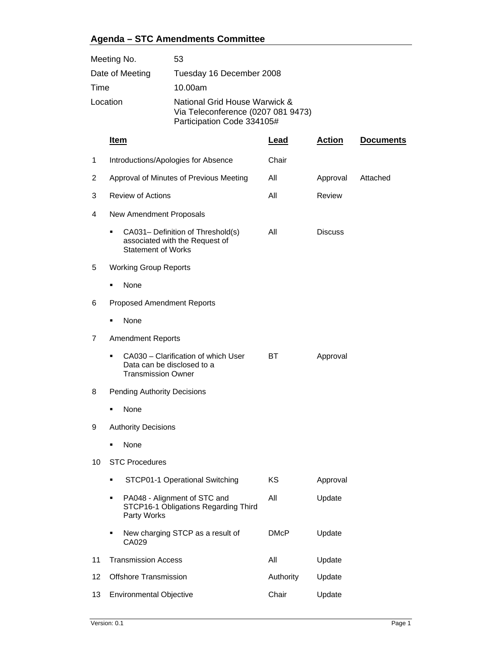## **Agenda – STC Amendments Committee**

| Meeting No.     | 53                                                                                                |
|-----------------|---------------------------------------------------------------------------------------------------|
| Date of Meeting | Tuesday 16 December 2008                                                                          |
| Time            | 10.00am                                                                                           |
| Location        | National Grid House Warwick &<br>Via Teleconference (0207 081 9473)<br>Participation Code 334105# |

|    | <u>Item</u>                                                                                         | <u>Lead</u> | <b>Action</b>  | <b>Documents</b> |  |  |
|----|-----------------------------------------------------------------------------------------------------|-------------|----------------|------------------|--|--|
| 1  | Introductions/Apologies for Absence                                                                 | Chair       |                |                  |  |  |
| 2  | Approval of Minutes of Previous Meeting                                                             | All         | Approval       | Attached         |  |  |
| 3  | <b>Review of Actions</b>                                                                            | All         | Review         |                  |  |  |
| 4  | New Amendment Proposals                                                                             |             |                |                  |  |  |
|    | CA031- Definition of Threshold(s)<br>associated with the Request of<br><b>Statement of Works</b>    | All         | <b>Discuss</b> |                  |  |  |
| 5  | <b>Working Group Reports</b>                                                                        |             |                |                  |  |  |
|    | None<br>٠                                                                                           |             |                |                  |  |  |
| 6  | <b>Proposed Amendment Reports</b>                                                                   |             |                |                  |  |  |
|    | None                                                                                                |             |                |                  |  |  |
| 7  | <b>Amendment Reports</b>                                                                            |             |                |                  |  |  |
|    | CA030 - Clarification of which User<br>٠<br>Data can be disclosed to a<br><b>Transmission Owner</b> | <b>BT</b>   | Approval       |                  |  |  |
| 8  | <b>Pending Authority Decisions</b>                                                                  |             |                |                  |  |  |
|    | None                                                                                                |             |                |                  |  |  |
| 9  | <b>Authority Decisions</b>                                                                          |             |                |                  |  |  |
|    | None<br>٠                                                                                           |             |                |                  |  |  |
| 10 | <b>STC Procedures</b>                                                                               |             |                |                  |  |  |
|    | STCP01-1 Operational Switching<br>٠                                                                 | KS          | Approval       |                  |  |  |
|    | PA048 - Alignment of STC and<br>٠<br>STCP16-1 Obligations Regarding Third<br>Party Works            | All         | Update         |                  |  |  |
|    | New charging STCP as a result of<br>٠<br>CA029                                                      | <b>DMcP</b> | Update         |                  |  |  |
| 11 | <b>Transmission Access</b>                                                                          | All         | Update         |                  |  |  |
| 12 | <b>Offshore Transmission</b>                                                                        | Authority   | Update         |                  |  |  |
| 13 | <b>Environmental Objective</b>                                                                      | Chair       | Update         |                  |  |  |